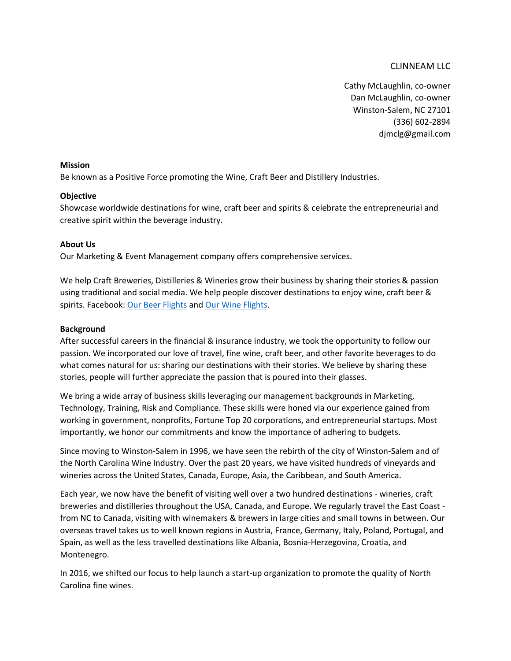# CLINNEAM LLC

Cathy McLaughlin, co-owner Dan McLaughlin, co-owner Winston-Salem, NC 27101 (336) 602-2894 djmclg@gmail.com

### **Mission**

Be known as a Positive Force promoting the Wine, Craft Beer and Distillery Industries.

# **Objective**

Showcase worldwide destinations for wine, craft beer and spirits & celebrate the entrepreneurial and creative spirit within the beverage industry.

# **About Us**

Our Marketing & Event Management company offers comprehensive services.

We help Craft Breweries, Distilleries & Wineries grow their business by sharing their stories & passion using traditional and social media. We help people discover destinations to enjoy wine, craft beer & spirits. Facebook[: Our Beer Flights](https://www.facebook.com/OurBeerFlights/) and [Our Wine Flights.](https://www.facebook.com/OurWineFlights/)

### **Background**

After successful careers in the financial & insurance industry, we took the opportunity to follow our passion. We incorporated our love of travel, fine wine, craft beer, and other favorite beverages to do what comes natural for us: sharing our destinations with their stories. We believe by sharing these stories, people will further appreciate the passion that is poured into their glasses.

We bring a wide array of business skills leveraging our management backgrounds in Marketing, Technology, Training, Risk and Compliance. These skills were honed via our experience gained from working in government, nonprofits, Fortune Top 20 corporations, and entrepreneurial startups. Most importantly, we honor our commitments and know the importance of adhering to budgets.

Since moving to Winston-Salem in 1996, we have seen the rebirth of the city of Winston-Salem and of the North Carolina Wine Industry. Over the past 20 years, we have visited hundreds of vineyards and wineries across the United States, Canada, Europe, Asia, the Caribbean, and South America.

Each year, we now have the benefit of visiting well over a two hundred destinations - wineries, craft breweries and distilleries throughout the USA, Canada, and Europe. We regularly travel the East Coast from NC to Canada, visiting with winemakers & brewers in large cities and small towns in between. Our overseas travel takes us to well known regions in Austria, France, Germany, Italy, Poland, Portugal, and Spain, as well as the less travelled destinations like Albania, Bosnia-Herzegovina, Croatia, and Montenegro.

In 2016, we shifted our focus to help launch a start-up organization to promote the quality of North Carolina fine wines.